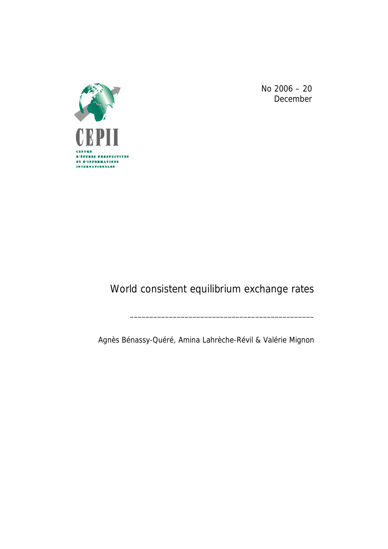

No 2006 – 20 December

# World consistent equilibrium exchange rates

\_\_\_\_\_\_\_\_\_\_\_\_\_\_\_\_\_\_\_\_\_\_\_\_\_\_\_\_\_\_\_\_\_\_\_\_\_\_\_\_\_\_\_\_\_\_\_

Agnès Bénassy-Quéré, Amina Lahrèche-Révil & Valérie Mignon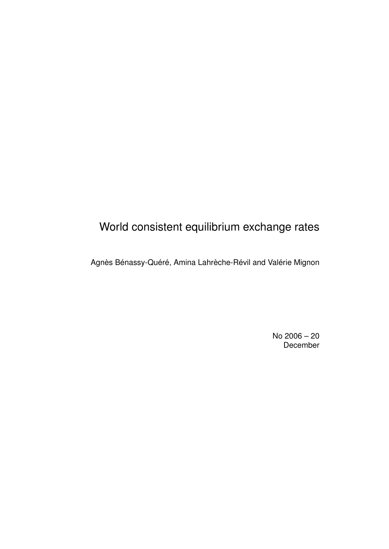# World consistent equilibrium exchange rates

Agnès Bénassy-Quéré, Amina Lahrèche-Révil and Valérie Mignon

No 2006 – 20 December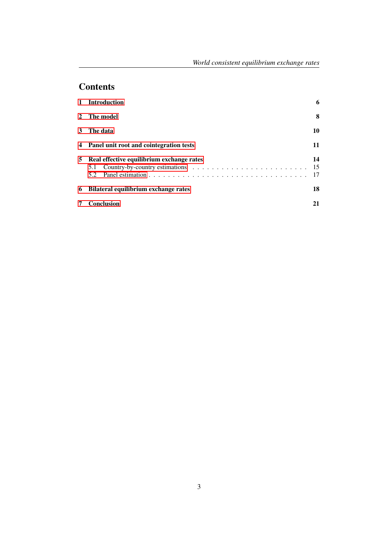## **Contents**

| $\mathbf{1}$ | <b>Introduction</b>                       | 6              |
|--------------|-------------------------------------------|----------------|
| $\mathbf{2}$ | The model                                 | 8              |
| 3            | The data                                  | 10             |
|              | 4 Panel unit root and cointegration tests | 11             |
| 5.           | Real effective equilibrium exchange rates | 14<br>15<br>17 |
| 6            | Bilateral equilibrium exchange rates      | 18             |
|              | Conclusion                                | 21             |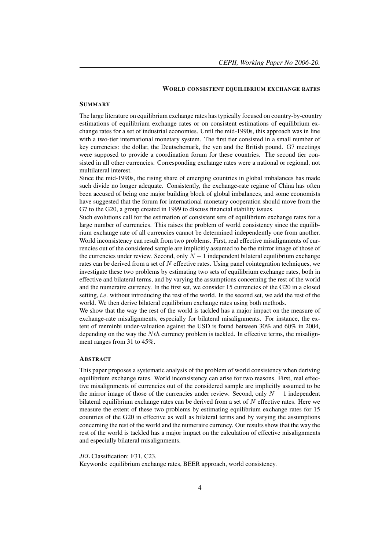#### WORLD CONSISTENT EQUILIBRIUM EXCHANGE RATES

#### **SUMMARY**

The large literature on equilibrium exchange rates has typically focused on country-by-country estimations of equilibrium exchange rates or on consistent estimations of equilibrium exchange rates for a set of industrial economies. Until the mid-1990s, this approach was in line with a two-tier international monetary system. The first tier consisted in a small number of key currencies: the dollar, the Deutschemark, the yen and the British pound. G7 meetings were supposed to provide a coordination forum for these countries. The second tier consisted in all other currencies. Corresponding exchange rates were a national or regional, not multilateral interest.

Since the mid-1990s, the rising share of emerging countries in global imbalances has made such divide no longer adequate. Consistently, the exchange-rate regime of China has often been accused of being one major building block of global imbalances, and some economists have suggested that the forum for international monetary cooperation should move from the G7 to the G20, a group created in 1999 to discuss financial stability issues.

Such evolutions call for the estimation of consistent sets of equilibrium exchange rates for a large number of currencies. This raises the problem of world consistency since the equilibrium exchange rate of all currencies cannot be determined independently one from another. World inconsistency can result from two problems. First, real effective misalignments of currencies out of the considered sample are implicitly assumed to be the mirror image of those of the currencies under review. Second, only  $N - 1$  independent bilateral equilibrium exchange rates can be derived from a set of  $N$  effective rates. Using panel cointegration techniques, we investigate these two problems by estimating two sets of equilibrium exchange rates, both in effective and bilateral terms, and by varying the assumptions concerning the rest of the world and the numeraire currency. In the first set, we consider 15 currencies of the G20 in a closed setting, *i.e*. without introducing the rest of the world. In the second set, we add the rest of the world. We then derive bilateral equilibrium exchange rates using both methods.

We show that the way the rest of the world is tackled has a major impact on the measure of exchange-rate misalignments, especially for bilateral misalignments. For instance, the extent of renminbi under-valuation against the USD is found between 30% and 60% in 2004, depending on the way the  $Nth$  currency problem is tackled. In effective terms, the misalignment ranges from 31 to 45%.

#### ABSTRACT

This paper proposes a systematic analysis of the problem of world consistency when deriving equilibrium exchange rates. World inconsistency can arise for two reasons. First, real effective misalignments of currencies out of the considered sample are implicitly assumed to be the mirror image of those of the currencies under review. Second, only  $N - 1$  independent bilateral equilibrium exchange rates can be derived from a set of  $N$  effective rates. Here we measure the extent of these two problems by estimating equilibrium exchange rates for 15 countries of the G20 in effective as well as bilateral terms and by varying the assumptions concerning the rest of the world and the numeraire currency. Our results show that the way the rest of the world is tackled has a major impact on the calculation of effective misalignments and especially bilateral misalignments.

#### *JEL* Classification: F31, C23.

Keywords: equilibrium exchange rates, BEER approach, world consistency.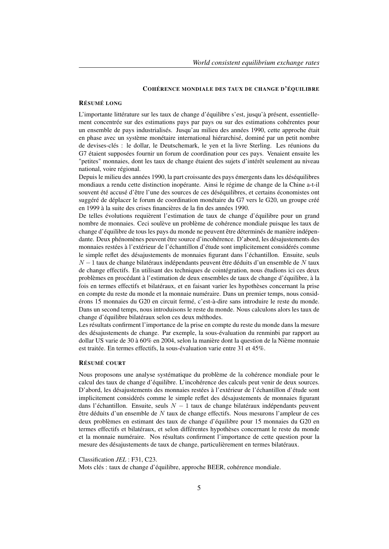#### COHÉRENCE MONDIALE DES TAUX DE CHANGE D'ÉQUILIBRE

#### RÉSUMÉ LONG

L'importante littérature sur les taux de change d'équilibre s'est, jusqu'à présent, essentiellement concentrée sur des estimations pays par pays ou sur des estimations cohérentes pour un ensemble de pays industrialisés. Jusqu'au milieu des années 1990, cette approche était en phase avec un système monétaire international hiérarchisé, dominé par un petit nombre de devises-clés : le dollar, le Deutschemark, le yen et la livre Sterling. Les réunions du G7 étaient supposées fournir un forum de coordination pour ces pays. Venaient ensuite les "petites" monnaies, dont les taux de change étaient des sujets d'intérêt seulement au niveau national, voire régional.

Depuis le milieu des années 1990, la part croissante des pays émergents dans les déséquilibres mondiaux a rendu cette distinction inopérante. Ainsi le régime de change de la Chine a-t-il souvent été accusé d'être l'une des sources de ces déséquilibres, et certains économistes ont suggéré de déplacer le forum de coordination monétaire du G7 vers le G20, un groupe créé en 1999 à la suite des crises financières de la fin des années 1990.

De telles évolutions requièrent l'estimation de taux de change d'équilibre pour un grand nombre de monnaies. Ceci soulève un problème de cohérence mondiale puisque les taux de change d'équilibre de tous les pays du monde ne peuvent être déterminés de manière indépendante. Deux phénomènes peuvent être source d'incohérence. D'abord, les désajustements des monnaies restées à l'extérieur de l'échantillon d'étude sont implicitement considérés comme le simple reflet des désajustements de monnaies figurant dans l'échantillon. Ensuite, seuls  $N-1$  taux de change bilatéraux indépendants peuvent être déduits d'un ensemble de N taux de change effectifs. En utilisant des techniques de cointégration, nous étudions ici ces deux problèmes en procédant à l'estimation de deux ensembles de taux de change d'équilibre, à la fois en termes effectifs et bilatéraux, et en faisant varier les hypothèses concernant la prise en compte du reste du monde et la monnaie numéraire. Dans un premier temps, nous considérons 15 monnaies du G20 en circuit fermé, c'est-à-dire sans introduire le reste du monde. Dans un second temps, nous introduisons le reste du monde. Nous calculons alors les taux de change d'équilibre bilatéraux selon ces deux méthodes.

Les résultats confirment l'importance de la prise en compte du reste du monde dans la mesure des désajustements de change. Par exemple, la sous-évaluation du renminbi par rapport au dollar US varie de 30 à 60% en 2004, selon la manière dont la question de la Nième monnaie est traitée. En termes effectifs, la sous-évaluation varie entre 31 et 45%.

#### RÉSUMÉ COURT

Nous proposons une analyse systématique du problème de la cohérence mondiale pour le calcul des taux de change d'équilibre. L'incohérence des calculs peut venir de deux sources. D'abord, les désajustements des monnaies restées à l'extérieur de l'échantillon d'étude sont implicitement considérés comme le simple reflet des désajustements de monnaies figurant dans l'échantillon. Ensuite, seuls  $N - 1$  taux de change bilatéraux indépendants peuvent être déduits d'un ensemble de  $N$  taux de change effectifs. Nous mesurons l'ampleur de ces deux problèmes en estimant des taux de change d'équilibre pour 15 monnaies du G20 en termes effectifs et bilatéraux, et selon différentes hypothèses concernant le reste du monde et la monnaie numéraire. Nos résultats confirment l'importance de cette question pour la mesure des désajustements de taux de change, particulièrement en termes bilatéraux.

#### Classification *JEL* : F31, C23.

Mots clés : taux de change d'équilibre, approche BEER, cohérence mondiale.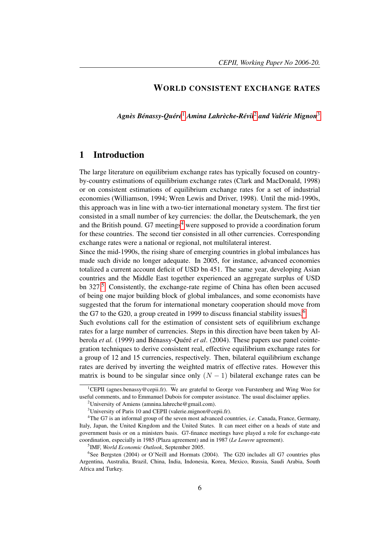#### WORLD CONSISTENT EXCHANGE RATES

*Agnès Bénassy-Quéré*[1](#page-5-1) *Amina Lahrèche-Révil*[2](#page-5-2) *and Valérie Mignon*[3](#page-5-3)

## <span id="page-5-0"></span>1 Introduction

The large literature on equilibrium exchange rates has typically focused on countryby-country estimations of equilibrium exchange rates (Clark and MacDonald, 1998) or on consistent estimations of equilibrium exchange rates for a set of industrial economies (Williamson, 1994; Wren Lewis and Driver, 1998). Until the mid-1990s, this approach was in line with a two-tier international monetary system. The first tier consisted in a small number of key currencies: the dollar, the Deutschemark, the yen and the British pound.  $G7$  meetings<sup>[4](#page-5-4)</sup> were supposed to provide a coordination forum for these countries. The second tier consisted in all other currencies. Corresponding exchange rates were a national or regional, not multilateral interest.

Since the mid-1990s, the rising share of emerging countries in global imbalances has made such divide no longer adequate. In 2005, for instance, advanced economies totalized a current account deficit of USD bn 451. The same year, developing Asian countries and the Middle East together experienced an aggregate surplus of USD bn  $327<sup>5</sup>$  $327<sup>5</sup>$  $327<sup>5</sup>$  Consistently, the exchange-rate regime of China has often been accused of being one major building block of global imbalances, and some economists have suggested that the forum for international monetary cooperation should move from the G7 to the G20, a group created in 1999 to discuss financial stability issues.<sup>[6](#page-5-6)</sup>

Such evolutions call for the estimation of consistent sets of equilibrium exchange rates for a large number of currencies. Steps in this direction have been taken by Alberola *et al.* (1999) and Bénassy-Quéré *et al*. (2004). These papers use panel cointegration techniques to derive consistent real, effective equilibrium exchange rates for a group of 12 and 15 currencies, respectively. Then, bilateral equilibrium exchange rates are derived by inverting the weighted matrix of effective rates. However this matrix is bound to be singular since only  $(N - 1)$  bilateral exchange rates can be

<span id="page-5-1"></span><sup>&</sup>lt;sup>1</sup>CEPII (agnes.benassy@cepii.fr). We are grateful to George von Furstenberg and Wing Woo for useful comments, and to Emmanuel Dubois for computer assistance. The usual disclaimer applies.

<span id="page-5-2"></span><sup>&</sup>lt;sup>2</sup>University of Amiens (amnina.lahreche@gmail.com).

<span id="page-5-4"></span><span id="page-5-3"></span> $3$ University of Paris 10 and CEPII (valerie.mignon@cepii.fr).

<sup>4</sup>The G7 is an informal group of the seven most advanced countries, *i.e*. Canada, France, Germany, Italy, Japan, the United Kingdom and the United States. It can meet either on a heads of state and government basis or on a ministers basis. G7-finance meetings have played a role for exchange-rate coordination, especially in 1985 (Plaza agreement) and in 1987 (*Le Louvre* agreement).

<span id="page-5-6"></span><span id="page-5-5"></span><sup>5</sup> IMF, *World Economic Outlook*, September 2005.

<sup>&</sup>lt;sup>6</sup>See Bergsten (2004) or O'Neill and Hormats (2004). The G20 includes all G7 countries plus Argentina, Australia, Brazil, China, India, Indonesia, Korea, Mexico, Russia, Saudi Arabia, South Africa and Turkey.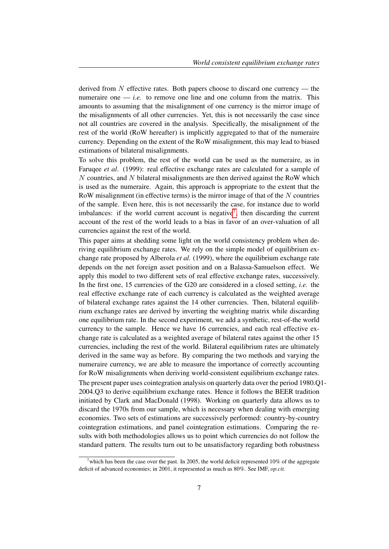derived from  $N$  effective rates. Both papers choose to discard one currency — the numeraire one  $\frac{d}{dx}$  *i.e.* to remove one line and one column from the matrix. This amounts to assuming that the misalignment of one currency is the mirror image of the misalignments of all other currencies. Yet, this is not necessarily the case since not all countries are covered in the analysis. Specifically, the misalignment of the rest of the world (RoW hereafter) is implicitly aggregated to that of the numeraire currency. Depending on the extent of the RoW misalignment, this may lead to biased estimations of bilateral misalignments.

To solve this problem, the rest of the world can be used as the numeraire, as in Faruqee *et al.* (1999): real effective exchange rates are calculated for a sample of  $N$  countries, and  $N$  bilateral misalignments are then derived against the RoW which is used as the numeraire. Again, this approach is appropriate to the extent that the RoW misalignment (in effective terms) is the mirror image of that of the  $N$  countries of the sample. Even here, this is not necessarily the case, for instance due to world imbalances: if the world current account is negative<sup>[7](#page-6-0)</sup>, then discarding the current account of the rest of the world leads to a bias in favor of an over-valuation of all currencies against the rest of the world.

This paper aims at shedding some light on the world consistency problem when deriving equilibrium exchange rates. We rely on the simple model of equilibrium exchange rate proposed by Alberola *et al.* (1999), where the equilibrium exchange rate depends on the net foreign asset position and on a Balassa-Samuelson effect. We apply this model to two different sets of real effective exchange rates, successively. In the first one, 15 currencies of the G20 are considered in a closed setting, *i.e.* the real effective exchange rate of each currency is calculated as the weighted average of bilateral exchange rates against the 14 other currencies. Then, bilateral equilibrium exchange rates are derived by inverting the weighting matrix while discarding one equilibrium rate. In the second experiment, we add a synthetic, rest-of-the world currency to the sample. Hence we have 16 currencies, and each real effective exchange rate is calculated as a weighted average of bilateral rates against the other 15 currencies, including the rest of the world. Bilateral equilibrium rates are ultimately derived in the same way as before. By comparing the two methods and varying the numeraire currency, we are able to measure the importance of correctly accounting for RoW misalignments when deriving world-consistent equilibrium exchange rates. The present paper uses cointegration analysis on quarterly data over the period 1980.Q1- 2004.Q3 to derive equilibrium exchange rates. Hence it follows the BEER tradition initiated by Clark and MacDonald (1998). Working on quarterly data allows us to discard the 1970s from our sample, which is necessary when dealing with emerging economies. Two sets of estimations are successively performed: country-by-country cointegration estimations, and panel cointegration estimations. Comparing the results with both methodologies allows us to point which currencies do not follow the standard pattern. The results turn out to be unsatisfactory regarding both robustness

<span id="page-6-0"></span><sup>&</sup>lt;sup>7</sup>which has been the case over the past. In 2005, the world deficit represented 10% of the aggregate deficit of advanced economies; in 2001, it represented as much as 80%. See IMF, *op.cit.*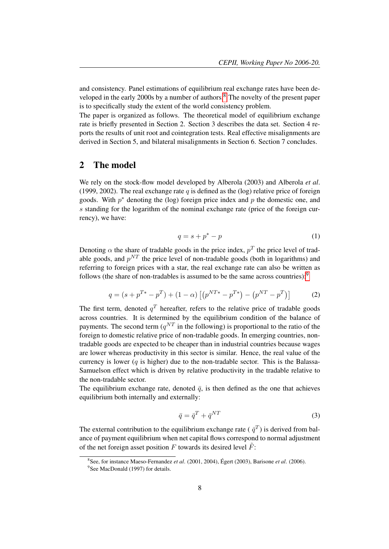and consistency. Panel estimations of equilibrium real exchange rates have been de-veloped in the early 2000s by a number of authors.<sup>[8](#page-7-1)</sup> The novelty of the present paper is to specifically study the extent of the world consistency problem.

The paper is organized as follows. The theoretical model of equilibrium exchange rate is briefly presented in Section 2. Section 3 describes the data set. Section 4 reports the results of unit root and cointegration tests. Real effective misalignments are derived in Section 5, and bilateral misalignments in Section 6. Section 7 concludes.

## <span id="page-7-0"></span>2 The model

We rely on the stock-flow model developed by Alberola (2003) and Alberola *et al*. (1999, 2002). The real exchange rate q is defined as the (log) relative price of foreign goods. With  $p^*$  denoting the (log) foreign price index and p the domestic one, and s standing for the logarithm of the nominal exchange rate (price of the foreign currency), we have:

$$
q = s + p^* - p \tag{1}
$$

Denoting  $\alpha$  the share of tradable goods in the price index,  $p^T$  the price level of tradable goods, and  $p^{NT}$  the price level of non-tradable goods (both in logarithms) and referring to foreign prices with a star, the real exchange rate can also be written as follows (the share of non-tradables is assumed to be the same across countries): $9$ 

$$
q = (s + p^{T*} - p^T) + (1 - \alpha) \left[ (p^{NT*} - p^{T*}) - (p^{NT} - p^T) \right]
$$
 (2)

The first term, denoted  $q<sup>T</sup>$  hereafter, refers to the relative price of tradable goods across countries. It is determined by the equilibrium condition of the balance of payments. The second term  $(q^{NT})$  in the following) is proportional to the ratio of the foreign to domestic relative price of non-tradable goods. In emerging countries, nontradable goods are expected to be cheaper than in industrial countries because wages are lower whereas productivity in this sector is similar. Hence, the real value of the currency is lower (q is higher) due to the non-tradable sector. This is the Balassa-Samuelson effect which is driven by relative productivity in the tradable relative to the non-tradable sector.

The equilibrium exchange rate, denoted  $\bar{q}$ , is then defined as the one that achieves equilibrium both internally and externally:

<span id="page-7-3"></span>
$$
\bar{q} = \bar{q}^T + \bar{q}^{NT} \tag{3}
$$

The external contribution to the equilibrium exchange rate ( $\bar{q}^T$ ) is derived from balance of payment equilibrium when net capital flows correspond to normal adjustment of the net foreign asset position F towards its desired level  $\tilde{F}$ :

<span id="page-7-2"></span><span id="page-7-1"></span><sup>8</sup> See, for instance Maeso-Fernandez *et al*. (2001, 2004), Égert (2003), Barisone *et al*. (2006). <sup>9</sup>See MacDonald (1997) for details.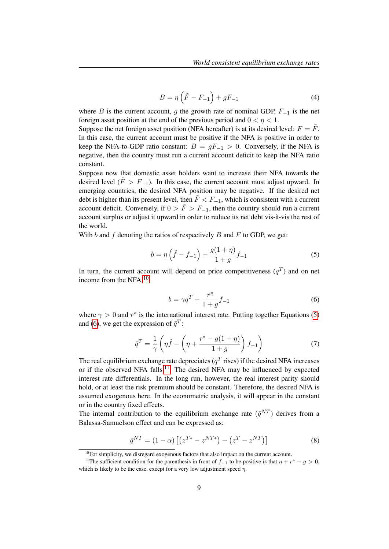$$
B = \eta \left( \tilde{F} - F_{-1} \right) + gF_{-1} \tag{4}
$$

where B is the current account, q the growth rate of nominal GDP,  $F_{-1}$  is the net foreign asset position at the end of the previous period and  $0 < \eta < 1$ . Suppose the net foreign asset position (NFA hereafter) is at its desired level:  $F = \tilde{F}$ .

In this case, the current account must be positive if the NFA is positive in order to keep the NFA-to-GDP ratio constant:  $B = qF_{-1} > 0$ . Conversely, if the NFA is negative, then the country must run a current account deficit to keep the NFA ratio constant.

Suppose now that domestic asset holders want to increase their NFA towards the desired level ( $\tilde{F} > F_{-1}$ ). In this case, the current account must adjust upward. In emerging countries, the desired NFA position may be negative. If the desired net debt is higher than its present level, then  $F < F_{-1}$ , which is consistent with a current account deficit. Conversely, if  $0 > \tilde{F} > F_{-1}$ , then the country should run a current account surplus or adjust it upward in order to reduce its net debt vis-à-vis the rest of the world.

With b and f denoting the ratios of respectively  $B$  and  $F$  to GDP, we get:

<span id="page-8-1"></span>
$$
b = \eta \left( \tilde{f} - f_{-1} \right) + \frac{g(1+\eta)}{1+g} f_{-1} \tag{5}
$$

In turn, the current account will depend on price competitiveness  $(q^T)$  and on net income from the NFA:[10](#page-8-0)

<span id="page-8-2"></span>
$$
b = \gamma q^T + \frac{r^*}{1+g} f_{-1}
$$
 (6)

where  $\gamma > 0$  and  $r^*$  is the international interest rate. Putting together Equations [\(5\)](#page-8-1) and [\(6\)](#page-8-2), we get the expression of  $\bar{q}^T$ :

<span id="page-8-4"></span>
$$
\bar{q}^T = \frac{1}{\gamma} \left( \eta \tilde{f} - \left( \eta + \frac{r^* - g(1 + \eta)}{1 + g} \right) f_{-1} \right) \tag{7}
$$

The real equilibrium exchange rate depreciates ( $\bar{q}^T$  rises) if the desired NFA increases or if the observed NFA falls.<sup>[11](#page-8-3)</sup> The desired NFA may be influenced by expected interest rate differentials. In the long run, however, the real interest parity should hold, or at least the risk premium should be constant. Therefore, the desired NFA is assumed exogenous here. In the econometric analysis, it will appear in the constant or in the country fixed effects.

The internal contribution to the equilibrium exchange rate  $(\bar{q}^{NT})$  derives from a Balassa-Samuelson effect and can be expressed as:

<span id="page-8-5"></span>
$$
\bar{q}^{NT} = (1 - \alpha) \left[ \left( z^{T*} - z^{NT*} \right) - \left( z^T - z^{NT} \right) \right] \tag{8}
$$

<span id="page-8-3"></span><span id="page-8-0"></span> $10$ For simplicity, we disregard exogenous factors that also impact on the current account.

<sup>&</sup>lt;sup>11</sup>The sufficient condition for the parenthesis in front of  $f_{-1}$  to be positive is that  $\eta + r^* - g > 0$ , which is likely to be the case, except for a very low adjustment speed  $\eta$ .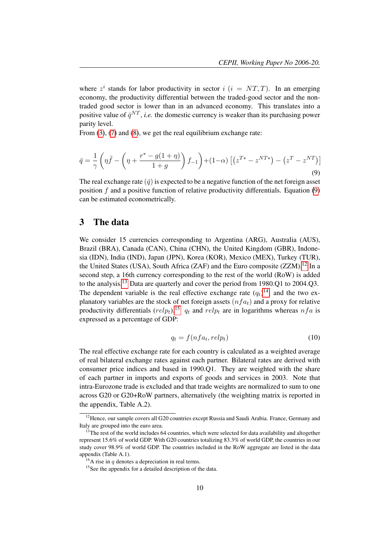where  $z^i$  stands for labor productivity in sector  $i$   $(i = NT, T)$ . In an emerging economy, the productivity differential between the traded-good sector and the nontraded good sector is lower than in an advanced economy. This translates into a positive value of  $\bar{q}^{NT}$ , *i.e.* the domestic currency is weaker than its purchasing power parity level.

From [\(3\)](#page-7-3), [\(7\)](#page-8-4) and [\(8\)](#page-8-5), we get the real equilibrium exchange rate:

<span id="page-9-1"></span>
$$
\bar{q} = \frac{1}{\gamma} \left( \eta \tilde{f} - \left( \eta + \frac{r^* - g(1 + \eta)}{1 + g} \right) f_{-1} \right) + (1 - \alpha) \left[ \left( z^{T*} - z^{NT*} \right) - \left( z^T - z^{NT} \right) \right]
$$
\n(9)

The real exchange rate  $(\bar{q})$  is expected to be a negative function of the net foreign asset position  $f$  and a positive function of relative productivity differentials. Equation [\(9\)](#page-9-1) can be estimated econometrically.

#### <span id="page-9-0"></span>3 The data

We consider 15 currencies corresponding to Argentina (ARG), Australia (AUS), Brazil (BRA), Canada (CAN), China (CHN), the United Kingdom (GBR), Indonesia (IDN), India (IND), Japan (JPN), Korea (KOR), Mexico (MEX), Turkey (TUR), the United States (USA), South Africa (ZAF) and the Euro composite (ZZM).<sup>[12](#page-9-2)</sup> In a second step, a 16th currency corresponding to the rest of the world (RoW) is added to the analysis.[13](#page-9-3) Data are quarterly and cover the period from 1980.Q1 to 2004.Q3. The dependent variable is the real effective exchange rate  $(q_t)^{14}$  $(q_t)^{14}$  $(q_t)^{14}$ , and the two explanatory variables are the stock of net foreign assets  $(nfa_t)$  and a proxy for relative productivity differentials  $(relp_t)$ .<sup>[15](#page-9-5)</sup>  $q_t$  and  $relp_t$  are in logarithms whereas  $nf_a$  is expressed as a percentage of GDP:

<span id="page-9-6"></span>
$$
q_t = f(nfa_t, relp_t)
$$
\n<sup>(10)</sup>

The real effective exchange rate for each country is calculated as a weighted average of real bilateral exchange rates against each partner. Bilateral rates are derived with consumer price indices and based in 1990.Q1. They are weighted with the share of each partner in imports and exports of goods and services in 2003. Note that intra-Eurozone trade is excluded and that trade weights are normalized to sum to one across G20 or G20+RoW partners, alternatively (the weighting matrix is reported in the appendix, Table A.2).

<span id="page-9-2"></span><sup>&</sup>lt;sup>12</sup>Hence, our sample covers all G20 countries except Russia and Saudi Arabia. France, Germany and Italy are grouped into the euro area.

<span id="page-9-3"></span> $13$ The rest of the world includes 64 countries, which were selected for data availability and altogether represent 15.6% of world GDP. With G20 countries totalizing 83.3% of world GDP, the countries in our study cover 98.9% of world GDP. The countries included in the RoW aggregate are listed in the data appendix (Table A.1).

<span id="page-9-4"></span> $14A$  rise in q denotes a depreciation in real terms.

<span id="page-9-5"></span><sup>&</sup>lt;sup>15</sup>See the appendix for a detailed description of the data.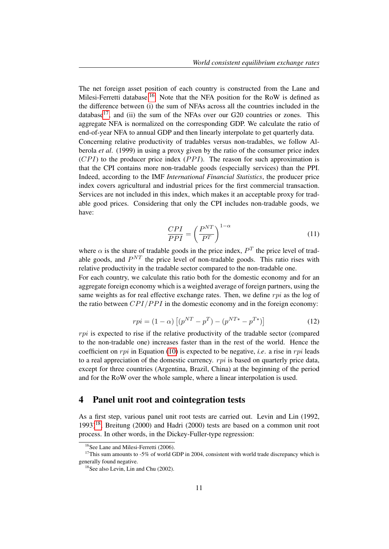The net foreign asset position of each country is constructed from the Lane and Milesi-Ferretti database.<sup>[16](#page-10-1)</sup> Note that the NFA position for the RoW is defined as the difference between (i) the sum of NFAs across all the countries included in the database<sup>[17](#page-10-2)</sup>, and (ii) the sum of the NFAs over our G20 countries or zones. This aggregate NFA is normalized on the corresponding GDP. We calculate the ratio of end-of-year NFA to annual GDP and then linearly interpolate to get quarterly data. Concerning relative productivity of tradables versus non-tradables, we follow Alberola *et al*. (1999) in using a proxy given by the ratio of the consumer price index  $(CPI)$  to the producer price index  $(PPI)$ . The reason for such approximation is that the CPI contains more non-tradable goods (especially services) than the PPI. Indeed, according to the IMF *International Financial Statistics*, the producer price index covers agricultural and industrial prices for the first commercial transaction. Services are not included in this index, which makes it an acceptable proxy for tradable good prices. Considering that only the CPI includes non-tradable goods, we have:

$$
\frac{CPI}{PPI} = \left(\frac{P^{NT}}{P^T}\right)^{1-\alpha} \tag{11}
$$

where  $\alpha$  is the share of tradable goods in the price index,  $P<sup>T</sup>$  the price level of tradable goods, and  $P^{NT}$  the price level of non-tradable goods. This ratio rises with relative productivity in the tradable sector compared to the non-tradable one.

For each country, we calculate this ratio both for the domestic economy and for an aggregate foreign economy which is a weighted average of foreign partners, using the same weights as for real effective exchange rates. Then, we define  $rpi$  as the log of the ratio between  $CPI/PPI$  in the domestic economy and in the foreign economy:

$$
rpi = (1 - \alpha) \left[ (p^{NT} - p^T) - (p^{NT*} - p^{T*}) \right]
$$
 (12)

rpi is expected to rise if the relative productivity of the tradable sector (compared to the non-tradable one) increases faster than in the rest of the world. Hence the coefficient on rpi in Equation [\(10\)](#page-9-6) is expected to be negative, *i.e*. a rise in rpi leads to a real appreciation of the domestic currency.  $rpi$  is based on quarterly price data, except for three countries (Argentina, Brazil, China) at the beginning of the period and for the RoW over the whole sample, where a linear interpolation is used.

#### <span id="page-10-0"></span>4 Panel unit root and cointegration tests

As a first step, various panel unit root tests are carried out. Levin and Lin (1992,  $1993$ <sup>[18](#page-10-3)</sup>, Breitung (2000) and Hadri (2000) tests are based on a common unit root process. In other words, in the Dickey-Fuller-type regression:

<span id="page-10-2"></span><span id="page-10-1"></span><sup>&</sup>lt;sup>16</sup>See Lane and Milesi-Ferretti (2006).

 $17$ This sum amounts to -5% of world GDP in 2004, consistent with world trade discrepancy which is generally found negative.

<span id="page-10-3"></span> $18$ See also Levin, Lin and Chu (2002).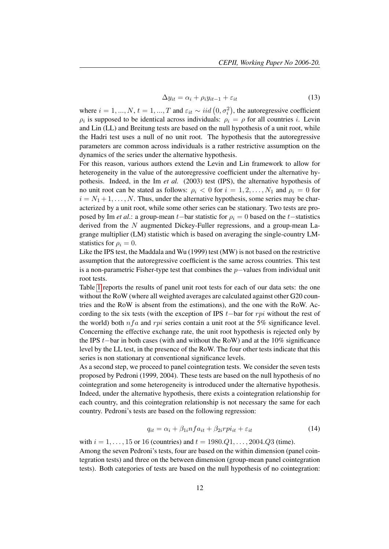$$
\Delta y_{it} = \alpha_i + \rho_i y_{it-1} + \varepsilon_{it} \tag{13}
$$

where  $i = 1, ..., N$ ,  $t = 1, ..., T$  and  $\varepsilon_{it} \sim iid(0, \sigma_i^2)$ , the autoregressive coefficient  $\rho_i$  is supposed to be identical across individuals:  $\rho_i = \rho$  for all countries *i*. Levin and Lin (LL) and Breitung tests are based on the null hypothesis of a unit root, while the Hadri test uses a null of no unit root. The hypothesis that the autoregressive parameters are common across individuals is a rather restrictive assumption on the dynamics of the series under the alternative hypothesis.

For this reason, various authors extend the Levin and Lin framework to allow for heterogeneity in the value of the autoregressive coefficient under the alternative hypothesis. Indeed, in the Im *et al.* (2003) test (IPS), the alternative hypothesis of no unit root can be stated as follows:  $\rho_i < 0$  for  $i = 1, 2, ..., N_1$  and  $\rho_i = 0$  for  $i = N_1 + 1, \ldots, N$ . Thus, under the alternative hypothesis, some series may be characterized by a unit root, while some other series can be stationary. Two tests are proposed by Im *et al*.: a group-mean  $t$ −bar statistic for  $\rho_i = 0$  based on the  $t$ −statistics derived from the N augmented Dickey-Fuller regressions, and a group-mean Lagrange multiplier (LM) statistic which is based on averaging the single-country LMstatistics for  $\rho_i = 0$ .

Like the IPS test, the Maddala and Wu (1999) test (MW) is not based on the restrictive assumption that the autoregressive coefficient is the same across countries. This test is a non-parametric Fisher-type test that combines the p−values from individual unit root tests.

Table [1](#page-12-0) reports the results of panel unit root tests for each of our data sets: the one without the RoW (where all weighted averages are calculated against other G20 countries and the RoW is absent from the estimations), and the one with the RoW. According to the six tests (with the exception of IPS t−bar for rpi without the rest of the world) both  $nfa$  and rpi series contain a unit root at the 5% significance level. Concerning the effective exchange rate, the unit root hypothesis is rejected only by the IPS t−bar in both cases (with and without the RoW) and at the 10% significance level by the LL test, in the presence of the RoW. The four other tests indicate that this series is non stationary at conventional significance levels.

As a second step, we proceed to panel cointegration tests. We consider the seven tests proposed by Pedroni (1999, 2004). These tests are based on the null hypothesis of no cointegration and some heterogeneity is introduced under the alternative hypothesis. Indeed, under the alternative hypothesis, there exists a cointegration relationship for each country, and this cointegration relationship is not necessary the same for each country. Pedroni's tests are based on the following regression:

$$
q_{it} = \alpha_i + \beta_{1i} n f a_{it} + \beta_{2i} r p i_{it} + \varepsilon_{it} \tag{14}
$$

with  $i = 1, ..., 15$  or 16 (countries) and  $t = 1980 \cdot Q1, ..., 2004 \cdot Q3$  (time).

Among the seven Pedroni's tests, four are based on the within dimension (panel cointegration tests) and three on the between dimension (group-mean panel cointegration tests). Both categories of tests are based on the null hypothesis of no cointegration: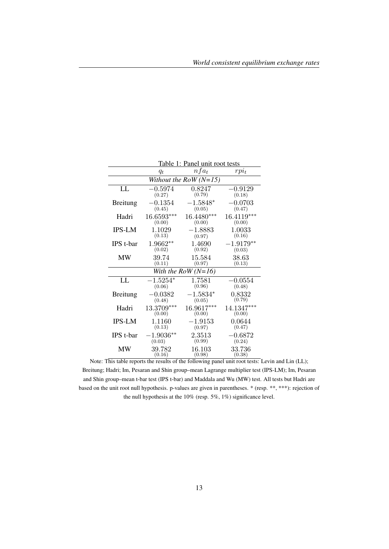<span id="page-12-0"></span>

| Table 1: Panel unit root tests |               |                          |              |
|--------------------------------|---------------|--------------------------|--------------|
|                                | $q_t$         | $nfa_t$                  | $r p i_t$    |
|                                |               | Without the RoW $(N=15)$ |              |
| LL                             | $-0.5974$     | 0.8247                   | $-0.9129$    |
|                                | (0.27)        | (0.79)                   | (0.18)       |
| Breitung                       | $-0.1354\,$   | $-1.5848*$               | $-0.0703$    |
|                                | (0.45)        | (0.05)                   | (0.47)       |
| Hadri                          | 16.6593***    | 16.4480***               | $16.4119***$ |
|                                | (0.00)        | (0.00)                   | (0.00)       |
| <b>IPS-LM</b>                  | 1.1029        | $-1.8883$                | 1.0033       |
|                                | (0.13)        | (0.97)                   | (0.16)       |
| <b>IPS</b> t-bar               | 1.9662**      | 1.4690                   | $-1.9179**$  |
|                                | (0.02)        | (0.92)                   | (0.03)       |
| MW                             | 39.74         | 15.584                   | 38.63        |
|                                | (0.11)        | (0.97)                   | (0.13)       |
|                                |               | With the RoW $(N=16)$    |              |
| LL                             | $-1.5254^{*}$ | 1.7581                   | $-0.0554$    |
|                                | (0.06)        | (0.96)                   | (0.48)       |
| Breitung                       | $-0.0382$     | $-1.5834*$               | 0.8332       |
|                                | (0.48)        | (0.05)                   | (0.79)       |
| Hadri                          | 13.3709***    | 16.9617***               | 14.1347***   |
|                                | (0.00)        | (0.00)                   | (0.00)       |
| <b>IPS-LM</b>                  | 1.1160        | $-1.9153$                | 0.0644       |
|                                | (0.13)        | (0.97)                   | (0.47)       |
| <b>IPS</b> t-bar               | $-1.9036**$   | 2.3513                   | $-0.6872$    |
|                                | (0.03)        | (0.99)                   | (0.24)       |
| MW                             | 39.782        | 16.103                   | 33.736       |
|                                | (0.16)        | (0.98)                   | (0.38)       |

Note: This table reports the results of the following panel unit root tests: Levin and Lin (LL); Breitung; Hadri; Im, Pesaran and Shin group–mean Lagrange multiplier test (IPS-LM); Im, Pesaran and Shin group–mean t-bar test (IPS t-bar) and Maddala and Wu (MW) test. All tests but Hadri are based on the unit root null hypothesis. p-values are given in parentheses. \* (resp. \*\*, \*\*\*): rejection of the null hypothesis at the 10% (resp. 5%, 1%) significance level.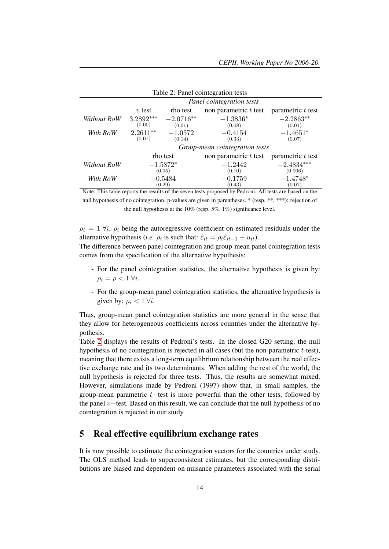<span id="page-13-1"></span>

|             | Table 2: Panel cointegration tests                                 |             |                           |                   |
|-------------|--------------------------------------------------------------------|-------------|---------------------------|-------------------|
|             |                                                                    |             | Panel cointegration tests |                   |
|             | non parametric t test<br>parametric t test<br>rho test<br>$v$ test |             |                           |                   |
| Without RoW | $3.2892***$                                                        | $-2.0716**$ | $-1.3836*$                | $-2.2863**$       |
|             | (0.00)                                                             | (0.01)      | (0.08)                    | (0.01)            |
| With RoW    | $2.2611**$<br>$-1.0572$                                            |             | $-0.4154$                 | $-1.4651*$        |
|             | (0.01)<br>(0.14)                                                   |             | (0.33)                    | (0.07)            |
|             | Group-mean cointegration tests                                     |             |                           |                   |
|             |                                                                    | rho test    | non parametric t test     | parametric t test |
| Without RoW | $-1.5872*$                                                         |             | $-1.2442$                 | $-2.4834***$      |
|             | (0.05)                                                             |             | (0.10)                    | (0.006)           |
| With RoW    | $-0.5484$                                                          |             | $-0.1759$                 | $-1.4748*$        |
|             |                                                                    | (0.29)      | (0.43)                    | (0.07)            |

Note: This table reports the results of the seven tests proposed by Pedroni. All tests are based on the null hypothesis of no cointegration. p-values are given in parentheses. \* (resp. \*\*, \*\*\*): rejection of the null hypothesis at the 10% (resp. 5%, 1%) significance level.

 $\rho_i = 1 \ \forall i, \ \rho_i$  being the autoregressive coefficient on estimated residuals under the alternative hypothesis (*i.e.*  $\rho_i$  is such that:  $\hat{\varepsilon}_{it} = \rho_i \hat{\varepsilon}_{it-1} + u_{it}$ ).

The difference between panel cointegration and group-mean panel cointegration tests comes from the specification of the alternative hypothesis:

- For the panel cointegration statistics, the alternative hypothesis is given by:  $\rho_i = \rho < 1 \ \forall i.$
- For the group-mean panel cointegration statistics, the alternative hypothesis is given by:  $\rho_i < 1 \ \forall i$ .

Thus, group-mean panel cointegration statistics are more general in the sense that they allow for heterogeneous coefficients across countries under the alternative hypothesis.

Table [2](#page-13-1) displays the results of Pedroni's tests. In the closed G20 setting, the null hypothesis of no cointegration is rejected in all cases (but the non-parametric  $t$ -test), meaning that there exists a long-term equilibrium relationship between the real effective exchange rate and its two determinants. When adding the rest of the world, the null hypothesis is rejected for three tests. Thus, the results are somewhat mixed. However, simulations made by Pedroni (1997) show that, in small samples, the group-mean parametric t−test is more powerful than the other tests, followed by the panel v−test. Based on this result, we can conclude that the null hypothesis of no cointegration is rejected in our study.

### <span id="page-13-0"></span>5 Real effective equilibrium exchange rates

It is now possible to estimate the cointegration vectors for the countries under study. The OLS method leads to superconsistent estimates, but the corresponding distributions are biased and dependent on nuisance parameters associated with the serial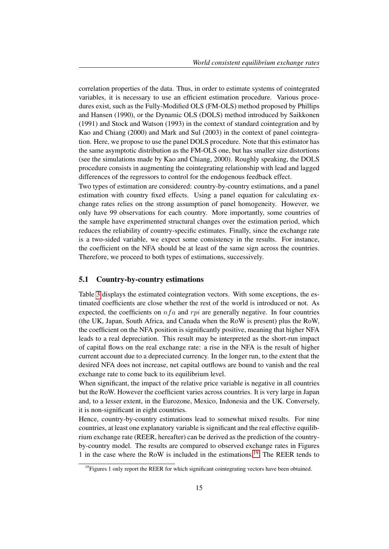correlation properties of the data. Thus, in order to estimate systems of cointegrated variables, it is necessary to use an efficient estimation procedure. Various procedures exist, such as the Fully-Modified OLS (FM-OLS) method proposed by Phillips and Hansen (1990), or the Dynamic OLS (DOLS) method introduced by Saikkonen (1991) and Stock and Watson (1993) in the context of standard cointegration and by Kao and Chiang (2000) and Mark and Sul (2003) in the context of panel cointegration. Here, we propose to use the panel DOLS procedure. Note that this estimator has the same asymptotic distribution as the FM-OLS one, but has smaller size distortions (see the simulations made by Kao and Chiang, 2000). Roughly speaking, the DOLS procedure consists in augmenting the cointegrating relationship with lead and lagged differences of the regressors to control for the endogenous feedback effect.

Two types of estimation are considered: country-by-country estimations, and a panel estimation with country fixed effects. Using a panel equation for calculating exchange rates relies on the strong assumption of panel homogeneity. However, we only have 99 observations for each country. More importantly, some countries of the sample have experimented structural changes over the estimation period, which reduces the reliability of country-specific estimates. Finally, since the exchange rate is a two-sided variable, we expect some consistency in the results. For instance, the coefficient on the NFA should be at least of the same sign across the countries. Therefore, we proceed to both types of estimations, successively.

#### <span id="page-14-0"></span>5.1 Country-by-country estimations

Table [3](#page-15-0) displays the estimated cointegration vectors. With some exceptions, the estimated coefficients are close whether the rest of the world is introduced or not. As expected, the coefficients on  $nfa$  and rpi are generally negative. In four countries (the UK, Japan, South Africa, and Canada when the RoW is present) plus the RoW, the coefficient on the NFA position is significantly positive, meaning that higher NFA leads to a real depreciation. This result may be interpreted as the short-run impact of capital flows on the real exchange rate: a rise in the NFA is the result of higher current account due to a depreciated currency. In the longer run, to the extent that the desired NFA does not increase, net capital outflows are bound to vanish and the real exchange rate to come back to its equilibrium level.

When significant, the impact of the relative price variable is negative in all countries but the RoW. However the coefficient varies across countries. It is very large in Japan and, to a lesser extent, in the Eurozone, Mexico, Indonesia and the UK. Conversely, it is non-significant in eight countries.

Hence, country-by-country estimations lead to somewhat mixed results. For nine countries, at least one explanatory variable is significant and the real effective equilibrium exchange rate (REER, hereafter) can be derived as the prediction of the countryby-country model. The results are compared to observed exchange rates in Figures 1 in the case where the RoW is included in the estimations.[19](#page-14-1) The REER tends to

<span id="page-14-1"></span> $<sup>19</sup>$ Figures 1 only report the REER for which significant cointegrating vectors have been obtained.</sup>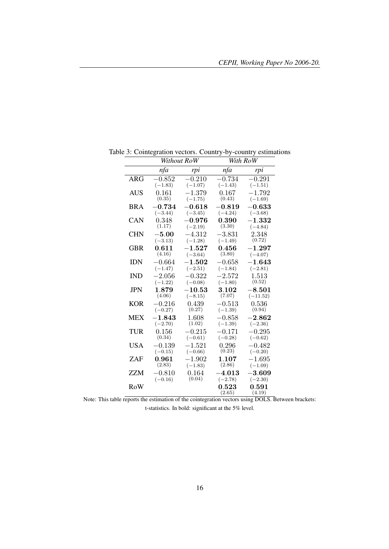|            |                       | Without RoW           | With RoW              |                                    |  |
|------------|-----------------------|-----------------------|-----------------------|------------------------------------|--|
|            | nfa                   | rpi                   | nfa                   | rpi                                |  |
| <b>ARG</b> | $-0.852$              | $-0.210$              | $-0.734$              | $-0.291$                           |  |
|            | $(-1.83)$             | $(-1.07)$             | $(-1.43)$             | $(-1.51)$                          |  |
| <b>AUS</b> | 0.161                 | $-1.379$              | 0.167                 | $-1.792$                           |  |
|            | (0.35)                | $(-1.75)$             | (0.43)                | $(-1.69)$                          |  |
| <b>BRA</b> | $-0.734$              | $-0.618$              | $-0.819$              | $-0.633$                           |  |
|            | $(-3.44)$<br>0.348    | $(-3.45)$             | $(-4.24)$             | $(-3.68)$                          |  |
| CAN        | (1.17)                | $-0.976$<br>$(-2.19)$ | 0.390<br>(3.30)       | $-1.332$<br>$(-4.84)$              |  |
| <b>CHN</b> | $-5.00$               | $-4.312$              | $-3.831$              | 2.348                              |  |
|            | $(-3.13)$             | $(-1.28)$             | $(-1.49)$             | (0.72)                             |  |
| GBR        | 0.611                 | $^{\rm -1.527}$       | 0.456                 | $-1.297$                           |  |
|            | (4.16)                | $(-3.64)$             | (3.80)                | $(-4.07)$                          |  |
| <b>IDN</b> | $-0.664$              | $-1.502$              | $-0.658$              | $-1.643$                           |  |
|            | $(-1.47)$             | $(-2.51)$             | $(-1.84)$             | $(-2.81)$                          |  |
| <b>IND</b> | $-2.056$              | $-0.322$              | $-2.572$              | 1.513                              |  |
|            | $(-1.22)$             | $(-0.08)$             | $(-1.80)$             | (0.52)                             |  |
| <b>JPN</b> | 1.879                 | $-10.53$              | 3.102                 | $-8.501$                           |  |
|            | (4.06)                | $(-8.15)$             | (7.07)                | $(-11.52)$                         |  |
| <b>KOR</b> | $-0.216$              | 0.439<br>(0.27)       | $-0.513$              | 0.536<br>(0.94)                    |  |
| <b>MEX</b> | $(-0.27)$<br>$-1.843$ |                       | $(-1.39)$             |                                    |  |
|            | $(-2.70)$             | 1.608<br>(1.02)       | $-0.858$<br>$(-1.39)$ | $\boldsymbol{-2.862}$<br>$(-2.36)$ |  |
| TUR        | 0.156                 | $-0.215$              | $-0.171$              | $-0.295$                           |  |
|            | (0.34)                | $(-0.61)$             | $(-0.28)$             | $(-0.62)$                          |  |
| USA        | $-0.139$              | $-1.521$              | 0.296                 | $-0.482$                           |  |
|            | $(-0.15)$             | $(-0.66)$             | (0.23)                | $(-0.20)$                          |  |
| ZAF        | 0.961                 | $-1.902$              | 1.107                 | $-1.695$                           |  |
|            | (2.83)                | $(-1.83)$             | (2.86)                | $(-1.09)$                          |  |
| <b>ZZM</b> | $-0.810$              | 0.164                 | $-4.013$              | $-3.609$                           |  |
|            | $(-0.16)$             | (0.04)                | $(-2.78)$             | $(-2.30)$                          |  |
| RoW        |                       |                       | 0.523<br>(2.65)       | 0.591<br>(4.19)                    |  |

<span id="page-15-0"></span>Table 3: Cointegration vectors. Country-by-country estimations

Note: This table reports the estimation of the cointegration vectors using DOLS. Between brackets: t-statistics. In bold: significant at the 5% level.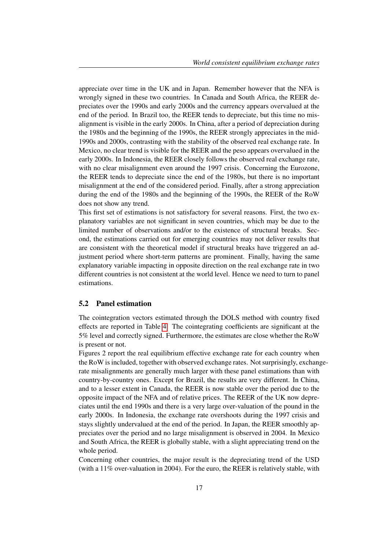appreciate over time in the UK and in Japan. Remember however that the NFA is wrongly signed in these two countries. In Canada and South Africa, the REER depreciates over the 1990s and early 2000s and the currency appears overvalued at the end of the period. In Brazil too, the REER tends to depreciate, but this time no misalignment is visible in the early 2000s. In China, after a period of depreciation during the 1980s and the beginning of the 1990s, the REER strongly appreciates in the mid-1990s and 2000s, contrasting with the stability of the observed real exchange rate. In Mexico, no clear trend is visible for the REER and the peso appears overvalued in the early 2000s. In Indonesia, the REER closely follows the observed real exchange rate, with no clear misalignment even around the 1997 crisis. Concerning the Eurozone, the REER tends to depreciate since the end of the 1980s, but there is no important misalignment at the end of the considered period. Finally, after a strong appreciation during the end of the 1980s and the beginning of the 1990s, the REER of the RoW does not show any trend.

This first set of estimations is not satisfactory for several reasons. First, the two explanatory variables are not significant in seven countries, which may be due to the limited number of observations and/or to the existence of structural breaks. Second, the estimations carried out for emerging countries may not deliver results that are consistent with the theoretical model if structural breaks have triggered an adjustment period where short-term patterns are prominent. Finally, having the same explanatory variable impacting in opposite direction on the real exchange rate in two different countries is not consistent at the world level. Hence we need to turn to panel estimations.

#### <span id="page-16-0"></span>5.2 Panel estimation

The cointegration vectors estimated through the DOLS method with country fixed effects are reported in Table [4.](#page-17-1) The cointegrating coefficients are significant at the 5% level and correctly signed. Furthermore, the estimates are close whether the RoW is present or not.

Figures 2 report the real equilibrium effective exchange rate for each country when the RoW is included, together with observed exchange rates. Not surprisingly, exchangerate misalignments are generally much larger with these panel estimations than with country-by-country ones. Except for Brazil, the results are very different. In China, and to a lesser extent in Canada, the REER is now stable over the period due to the opposite impact of the NFA and of relative prices. The REER of the UK now depreciates until the end 1990s and there is a very large over-valuation of the pound in the early 2000s. In Indonesia, the exchange rate overshoots during the 1997 crisis and stays slightly undervalued at the end of the period. In Japan, the REER smoothly appreciates over the period and no large misalignment is observed in 2004. In Mexico and South Africa, the REER is globally stable, with a slight appreciating trend on the whole period.

Concerning other countries, the major result is the depreciating trend of the USD (with a  $11\%$  over-valuation in 2004). For the euro, the REER is relatively stable, with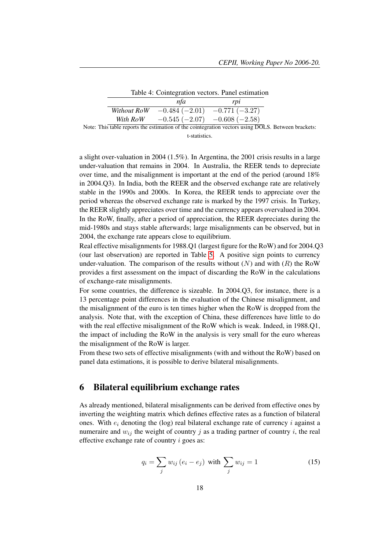<span id="page-17-1"></span>

| Table 4: Cointegration vectors. Panel estimation |                                                   |     |
|--------------------------------------------------|---------------------------------------------------|-----|
|                                                  | nfa                                               | rpi |
|                                                  | Without RoW $-0.484$ $(-2.01)$ $-0.771$ $(-3.27)$ |     |
| With RoW                                         | $-0.545(-2.07)$ $-0.608(-2.58)$                   |     |

Note: This table reports the estimation of the cointegration vectors using DOLS. Between brackets: t-statistics.

a slight over-valuation in 2004 (1.5%). In Argentina, the 2001 crisis results in a large under-valuation that remains in 2004. In Australia, the REER tends to depreciate over time, and the misalignment is important at the end of the period (around 18% in 2004.Q3). In India, both the REER and the observed exchange rate are relatively stable in the 1990s and 2000s. In Korea, the REER tends to appreciate over the period whereas the observed exchange rate is marked by the 1997 crisis. In Turkey, the REER slightly appreciates over time and the currency appears overvalued in 2004. In the RoW, finally, after a period of appreciation, the REER depreciates during the mid-1980s and stays stable afterwards; large misalignments can be observed, but in 2004, the exchange rate appears close to equilibrium.

Real effective misalignments for 1988.Q1 (largest figure for the RoW) and for 2004.Q3 (our last observation) are reported in Table [5.](#page-18-0) A positive sign points to currency under-valuation. The comparison of the results without  $(N)$  and with  $(R)$  the RoW provides a first assessment on the impact of discarding the RoW in the calculations of exchange-rate misalignments.

For some countries, the difference is sizeable. In 2004.Q3, for instance, there is a 13 percentage point differences in the evaluation of the Chinese misalignment, and the misalignment of the euro is ten times higher when the RoW is dropped from the analysis. Note that, with the exception of China, these differences have little to do with the real effective misalignment of the RoW which is weak. Indeed, in 1988.Q1, the impact of including the RoW in the analysis is very small for the euro whereas the misalignment of the RoW is larger.

From these two sets of effective misalignments (with and without the RoW) based on panel data estimations, it is possible to derive bilateral misalignments.

## <span id="page-17-0"></span>6 Bilateral equilibrium exchange rates

As already mentioned, bilateral misalignments can be derived from effective ones by inverting the weighting matrix which defines effective rates as a function of bilateral ones. With  $e_i$  denoting the (log) real bilateral exchange rate of currency i against a numeraire and  $w_{ij}$  the weight of country j as a trading partner of country i, the real effective exchange rate of country  $i$  goes as:

$$
q_i = \sum_j w_{ij} (e_i - e_j) \text{ with } \sum_j w_{ij} = 1
$$
 (15)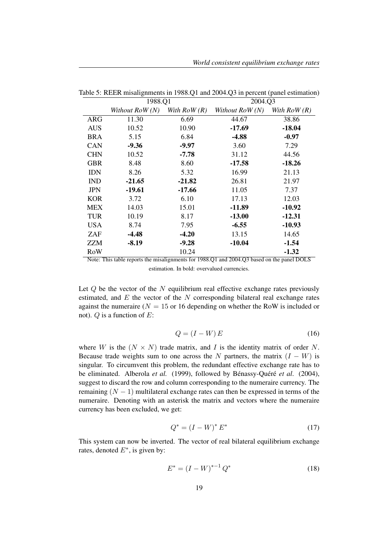|            | 1988.Q1         |               | 2004.Q3         |               |
|------------|-----------------|---------------|-----------------|---------------|
|            | Without RoW (N) | With $Row(R)$ | Without RoW (N) | With $Row(R)$ |
| ARG        | 11.30           | 6.69          | 44.67           | 38.86         |
| <b>AUS</b> | 10.52           | 10.90         | $-17.69$        | -18.04        |
| <b>BRA</b> | 5.15            | 6.84          | $-4.88$         | $-0.97$       |
| CAN        | $-9.36$         | $-9.97$       | 3.60            | 7.29          |
| <b>CHN</b> | 10.52           | $-7.78$       | 31.12           | 44.56         |
| GBR        | 8.48            | 8.60          | $-17.58$        | $-18.26$      |
| <b>IDN</b> | 8.26            | 5.32          | 16.99           | 21.13         |
| <b>IND</b> | $-21.65$        | $-21.82$      | 26.81           | 21.97         |
| JPN        | $-19.61$        | $-17.66$      | 11.05           | 7.37          |
| <b>KOR</b> | 3.72            | 6.10          | 17.13           | 12.03         |
| <b>MEX</b> | 14.03           | 15.01         | $-11.89$        | $-10.92$      |
| <b>TUR</b> | 10.19           | 8.17          | $-13.00$        | $-12.31$      |
| USA        | 8.74            | 7.95          | $-6.55$         | $-10.93$      |
| ZAF        | -4.48           | $-4.20$       | 13.15           | 14.65         |
| ZZM        | $-8.19$         | $-9.28$       | $-10.04$        | $-1.54$       |
| RoW        |                 | 10.24         |                 | $-1.32$       |

<span id="page-18-0"></span>Table 5: REER misalignments in 1988.Q1 and 2004.Q3 in percent (panel estimation)

Note: This table reports the misalignments for 1988.Q1 and 2004.Q3 based on the panel DOLS estimation. In bold: overvalued currencies.

Let  $Q$  be the vector of the  $N$  equilibrium real effective exchange rates previously estimated, and  $E$  the vector of the  $N$  corresponding bilateral real exchange rates against the numeraire ( $N = 15$  or 16 depending on whether the RoW is included or not).  $Q$  is a function of  $E$ :

$$
Q = (I - W)E\tag{16}
$$

where W is the  $(N \times N)$  trade matrix, and I is the identity matrix of order N. Because trade weights sum to one across the N partners, the matrix  $(I - W)$  is singular. To circumvent this problem, the redundant effective exchange rate has to be eliminated. Alberola *et al.* (1999), followed by Bénassy-Quéré *et al*. (2004), suggest to discard the row and column corresponding to the numeraire currency. The remaining  $(N - 1)$  multilateral exchange rates can then be expressed in terms of the numeraire. Denoting with an asterisk the matrix and vectors where the numeraire currency has been excluded, we get:

$$
Q^* = (I - W)^* E^* \tag{17}
$$

This system can now be inverted. The vector of real bilateral equilibrium exchange rates, denoted  $E^*$ , is given by:

$$
E^* = (I - W)^{*-1} Q^* \tag{18}
$$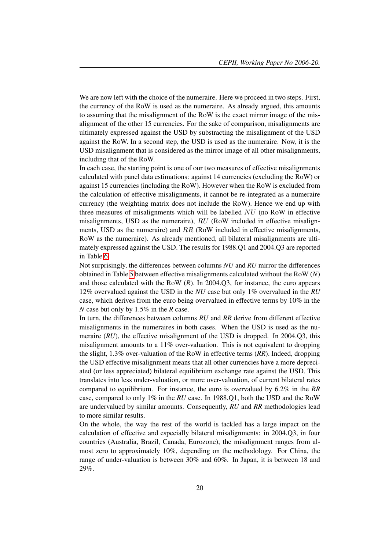We are now left with the choice of the numeraire. Here we proceed in two steps. First, the currency of the RoW is used as the numeraire. As already argued, this amounts to assuming that the misalignment of the RoW is the exact mirror image of the misalignment of the other 15 currencies. For the sake of comparison, misalignments are ultimately expressed against the USD by substracting the misalignment of the USD against the RoW. In a second step, the USD is used as the numeraire. Now, it is the USD misalignment that is considered as the mirror image of all other misalignments, including that of the RoW.

In each case, the starting point is one of our two measures of effective misalignments calculated with panel data estimations: against 14 currencies (excluding the RoW) or against 15 currencies (including the RoW). However when the RoW is excluded from the calculation of effective misalignments, it cannot be re-integrated as a numeraire currency (the weighting matrix does not include the RoW). Hence we end up with three measures of misalignments which will be labelled  $NU$  (no RoW in effective misalignments, USD as the numeraire),  $RU$  (RoW included in effective misalignments, USD as the numeraire) and  $RR$  (RoW included in effective misalignments, RoW as the numeraire). As already mentioned, all bilateral misalignments are ultimately expressed against the USD. The results for 1988.Q1 and 2004.Q3 are reported in Table [6.](#page-20-1)

Not surprisingly, the differences between columns *NU* and *RU* mirror the differences obtained in Table [5](#page-18-0) between effective misalignments calculated without the RoW (*N*) and those calculated with the RoW (*R*). In 2004.Q3, for instance, the euro appears 12% overvalued against the USD in the *NU* case but only 1% overvalued in the *RU* case, which derives from the euro being overvalued in effective terms by 10% in the *N* case but only by 1.5% in the *R* case.

In turn, the differences between columns *RU* and *RR* derive from different effective misalignments in the numeraires in both cases. When the USD is used as the numeraire (*RU*), the effective misalignment of the USD is dropped. In 2004.Q3, this misalignment amounts to a 11% over-valuation. This is not equivalent to dropping the slight, 1.3% over-valuation of the RoW in effective terms (*RR*). Indeed, dropping the USD effective misalignment means that all other currencies have a more depreciated (or less appreciated) bilateral equilibrium exchange rate against the USD. This translates into less under-valuation, or more over-valuation, of current bilateral rates compared to equilibrium. For instance, the euro is overvalued by 6.2% in the *RR* case, compared to only 1% in the *RU* case. In 1988.Q1, both the USD and the RoW are undervalued by similar amounts. Consequently, *RU* and *RR* methodologies lead to more similar results.

On the whole, the way the rest of the world is tackled has a large impact on the calculation of effective and especially bilateral misalignments: in 2004.Q3, in four countries (Australia, Brazil, Canada, Eurozone), the misalignment ranges from almost zero to approximately 10%, depending on the methodology. For China, the range of under-valuation is between 30% and 60%. In Japan, it is between 18 and 29%.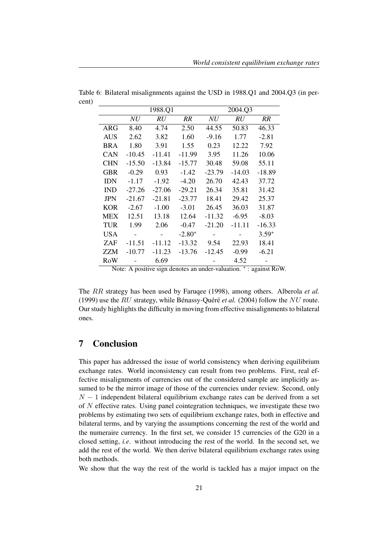|            |          | 1988.Q1  |          |          | 2004.Q3  |           |
|------------|----------|----------|----------|----------|----------|-----------|
|            | NU       | RU       | RR       | NU       | RU       | <b>RR</b> |
| ARG        | 8.40     | 4.74     | 2.50     | 44.55    | 50.83    | 46.33     |
| <b>AUS</b> | 2.62     | 3.82     | 1.60     | $-9.16$  | 1.77     | $-2.81$   |
| <b>BRA</b> | 1.80     | 3.91     | 1.55     | 0.23     | 12.22    | 7.92      |
| <b>CAN</b> | $-10.45$ | $-11.41$ | $-11.99$ | 3.95     | 11.26    | 10.06     |
| <b>CHN</b> | $-15.50$ | $-13.84$ | $-15.77$ | 30.48    | 59.08    | 55.11     |
| GBR        | $-0.29$  | 0.93     | $-1.42$  | $-23.79$ | $-14.03$ | $-18.89$  |
| <b>IDN</b> | $-1.17$  | $-1.92$  | $-4.20$  | 26.70    | 42.43    | 37.72     |
| <b>IND</b> | $-27.26$ | $-27.06$ | $-29.21$ | 26.34    | 35.81    | 31.42     |
| <b>JPN</b> | $-21.67$ | $-21.81$ | $-23.77$ | 18.41    | 29.42    | 25.37     |
| <b>KOR</b> | $-2.67$  | $-1.00$  | $-3.01$  | 26.45    | 36.03    | 31.87     |
| <b>MEX</b> | 12.51    | 13.18    | 12.64    | $-11.32$ | $-6.95$  | $-8.03$   |
| TUR        | 1.99     | 2.06     | $-0.47$  | $-21.20$ | $-11.11$ | $-16.33$  |
| <b>USA</b> |          |          | $-2.80*$ |          |          | $3.59*$   |
| ZAF        | $-11.51$ | $-11.12$ | $-13.32$ | 9.54     | 22.93    | 18.41     |
| ZZM        | $-10.77$ | $-11.23$ | $-13.76$ | $-12.45$ | $-0.99$  | $-6.21$   |
| RoW        |          | 6.69     |          |          | 4.52     |           |

<span id="page-20-1"></span>Table 6: Bilateral misalignments against the USD in 1988.Q1 and 2004.Q3 (in percent)

Note: A positive sign denotes an under-valuation. <sup>∗</sup> : against RoW.

The RR strategy has been used by Faruqee (1998), among others. Alberola *et al.* (1999) use the RU strategy, while Bénassy-Quéré *et al.* (2004) follow the NU route. Our study highlights the difficulty in moving from effective misalignments to bilateral ones.

## <span id="page-20-0"></span>7 Conclusion

This paper has addressed the issue of world consistency when deriving equilibrium exchange rates. World inconsistency can result from two problems. First, real effective misalignments of currencies out of the considered sample are implicitly assumed to be the mirror image of those of the currencies under review. Second, only  $N-1$  independent bilateral equilibrium exchange rates can be derived from a set of N effective rates. Using panel cointegration techniques, we investigate these two problems by estimating two sets of equilibrium exchange rates, both in effective and bilateral terms, and by varying the assumptions concerning the rest of the world and the numeraire currency. In the first set, we consider 15 currencies of the G20 in a closed setting, *i.e*. without introducing the rest of the world. In the second set, we add the rest of the world. We then derive bilateral equilibrium exchange rates using both methods.

We show that the way the rest of the world is tackled has a major impact on the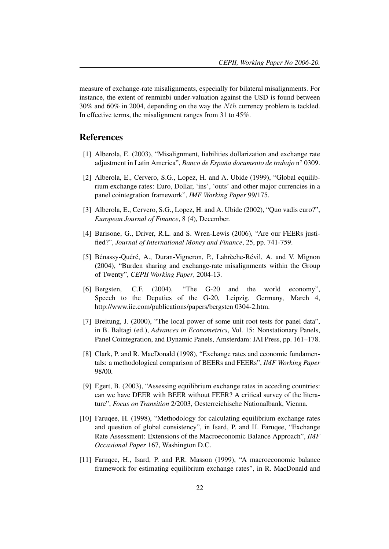measure of exchange-rate misalignments, especially for bilateral misalignments. For instance, the extent of renminbi under-valuation against the USD is found between 30% and 60% in 2004, depending on the way the  $Nth$  currency problem is tackled. In effective terms, the misalignment ranges from 31 to 45%.

## References

- [1] Alberola, E. (2003), "Misalignment, liabilities dollarization and exchange rate adjustment in Latin America", *Banco de España documento de trabajo* n ◦ 0309.
- [2] Alberola, E., Cervero, S.G., Lopez, H. and A. Ubide (1999), "Global equilibrium exchange rates: Euro, Dollar, 'ins', 'outs' and other major currencies in a panel cointegration framework", *IMF Working Paper* 99/175.
- [3] Alberola, E., Cervero, S.G., Lopez, H. and A. Ubide (2002), "Quo vadis euro?", *European Journal of Finance*, 8 (4), December.
- [4] Barisone, G., Driver, R.L. and S. Wren-Lewis (2006), "Are our FEERs justified?", *Journal of International Money and Finance*, 25, pp. 741-759.
- [5] Bénassy-Quéré, A., Duran-Vigneron, P., Lahrèche-Révil, A. and V. Mignon (2004), "Burden sharing and exchange-rate misalignments within the Group of Twenty", *CEPII Working Paper*, 2004-13.
- [6] Bergsten, C.F. (2004), "The G-20 and the world economy", Speech to the Deputies of the G-20, Leipzig, Germany, March 4, http://www.iie.com/publications/papers/bergsten 0304-2.htm.
- [7] Breitung, J. (2000), "The local power of some unit root tests for panel data", in B. Baltagi (ed.), *Advances in Econometrics*, Vol. 15: Nonstationary Panels, Panel Cointegration, and Dynamic Panels, Amsterdam: JAI Press, pp. 161–178.
- [8] Clark, P. and R. MacDonald (1998), "Exchange rates and economic fundamentals: a methodological comparison of BEERs and FEERs", *IMF Working Paper* 98/00.
- [9] Egert, B. (2003), "Assessing equilibrium exchange rates in acceding countries: can we have DEER with BEER without FEER? A critical survey of the literature", *Focus on Transition* 2/2003, Oesterreichische Nationalbank, Vienna.
- [10] Faruqee, H. (1998), "Methodology for calculating equilibrium exchange rates and question of global consistency", in Isard, P. and H. Faruqee, "Exchange Rate Assessment: Extensions of the Macroeconomic Balance Approach", *IMF Occasional Paper* 167, Washington D.C.
- [11] Faruqee, H., Isard, P. and P.R. Masson (1999), "A macroeconomic balance framework for estimating equilibrium exchange rates", in R. MacDonald and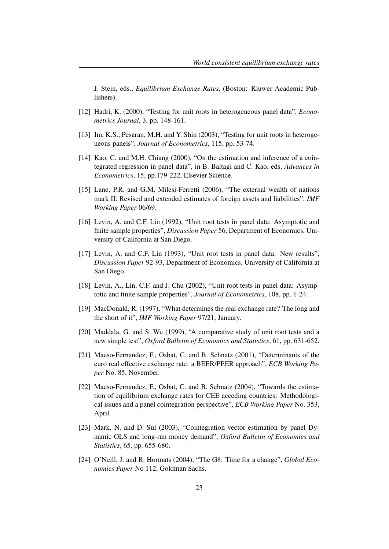J. Stein, eds., *Equilibrium Exchange Rates*, (Boston: Kluwer Academic Publishers).

- [12] Hadri, K. (2000), "Testing for unit roots in heterogeneous panel data", *Econometrics Journal*, 3, pp. 148-161.
- [13] Im, K.S., Pesaran, M.H. and Y. Shin (2003), "Testing for unit roots in heterogeneous panels", *Journal of Econometrics*, 115, pp. 53-74.
- [14] Kao, C. and M.H. Chiang (2000), "On the estimation and inference of a cointegrated regression in panel data", in B. Baltagi and C. Kao, eds, *Advances in Econometrics*, 15, pp.179-222, Elsevier Science.
- [15] Lane, P.R. and G.M. Milesi-Ferretti (2006), "The external wealth of nations mark II: Revised and extended estimates of foreign assets and liabilities", *IMF Working Paper* 06/69.
- [16] Levin, A. and C.F. Lin (1992), "Unit root tests in panel data: Asymptotic and finite sample properties", *Discussion Paper* 56, Department of Economics, University of California at San Diego.
- [17] Levin, A. and C.F. Lin (1993), "Unit root tests in panel data: New results", *Discussion Paper* 92-93, Department of Economics, University of California at San Diego.
- [18] Levin, A., Lin, C.F. and J. Chu (2002), "Unit root tests in panel data: Asymptotic and finite sample properties", *Journal of Econometrics*, 108, pp. 1-24.
- [19] MacDonald, R. (1997), "What determines the real exchange rate? The long and the short of it", *IMF Working Paper* 97/21, January.
- [20] Maddala, G. and S. Wu (1999), "A comparative study of unit root tests and a new simple test", *Oxford Bulletin of Economics and Statistics*, 61, pp. 631-652.
- [21] Maeso-Fernandez, F., Osbat, C. and B. Schnatz (2001), "Determinants of the euro real effective exchange rate: a BEER/PEER approach", *ECB Working Paper* No. 85, November.
- [22] Maeso-Fernandez, F., Osbat, C. and B. Schnatz (2004), "Towards the estimation of equilibrium exchange rates for CEE acceding countries: Methodological issues and a panel cointegration perspective", *ECB Working Paper* No. 353, April.
- [23] Mark, N. and D. Sul (2003), "Cointegration vector estimation by panel Dynamic OLS and long-run money demand", *Oxford Bulletin of Economics and Statistics*, 65, pp. 655-680.
- [24] O'Neill, J. and R. Hormats (2004), "The G8: Time for a change", *Global Economics Paper* No 112, Goldman Sachs.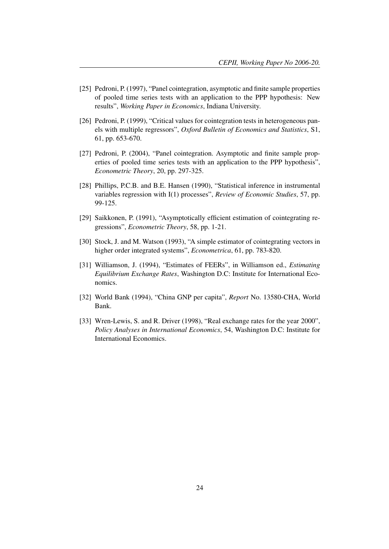- [25] Pedroni, P. (1997), "Panel cointegration, asymptotic and finite sample properties of pooled time series tests with an application to the PPP hypothesis: New results", *Working Paper in Economics*, Indiana University.
- [26] Pedroni, P. (1999), "Critical values for cointegration tests in heterogeneous panels with multiple regressors", *Oxford Bulletin of Economics and Statistics*, S1, 61, pp. 653-670.
- [27] Pedroni, P. (2004), "Panel cointegration. Asymptotic and finite sample properties of pooled time series tests with an application to the PPP hypothesis", *Econometric Theory*, 20, pp. 297-325.
- [28] Phillips, P.C.B. and B.E. Hansen (1990), "Statistical inference in instrumental variables regression with I(1) processes", *Review of Economic Studies*, 57, pp. 99-125.
- [29] Saikkonen, P. (1991), "Asymptotically efficient estimation of cointegrating regressions", *Econometric Theory*, 58, pp. 1-21.
- [30] Stock, J. and M. Watson (1993), "A simple estimator of cointegrating vectors in higher order integrated systems", *Econometrica*, 61, pp. 783-820.
- [31] Williamson, J. (1994), "Estimates of FEERs", in Williamson ed., *Estimating Equilibrium Exchange Rates*, Washington D.C: Institute for International Economics.
- [32] World Bank (1994), "China GNP per capita", *Report* No. 13580-CHA, World Bank.
- [33] Wren-Lewis, S. and R. Driver (1998), "Real exchange rates for the year 2000", *Policy Analyses in International Economics*, 54, Washington D.C: Institute for International Economics.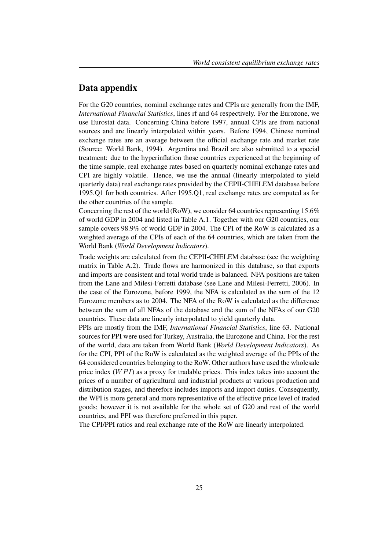## Data appendix

For the G20 countries, nominal exchange rates and CPIs are generally from the IMF, *International Financial Statistics*, lines rf and 64 respectively. For the Eurozone, we use Eurostat data. Concerning China before 1997, annual CPIs are from national sources and are linearly interpolated within years. Before 1994, Chinese nominal exchange rates are an average between the official exchange rate and market rate (Source: World Bank, 1994). Argentina and Brazil are also submitted to a special treatment: due to the hyperinflation those countries experienced at the beginning of the time sample, real exchange rates based on quarterly nominal exchange rates and CPI are highly volatile. Hence, we use the annual (linearly interpolated to yield quarterly data) real exchange rates provided by the CEPII-CHELEM database before 1995.Q1 for both countries. After 1995.Q1, real exchange rates are computed as for the other countries of the sample.

Concerning the rest of the world (RoW), we consider 64 countries representing 15.6% of world GDP in 2004 and listed in Table A.1. Together with our G20 countries, our sample covers 98.9% of world GDP in 2004. The CPI of the RoW is calculated as a weighted average of the CPIs of each of the 64 countries, which are taken from the World Bank (*World Development Indicators*).

Trade weights are calculated from the CEPII-CHELEM database (see the weighting matrix in Table A.2). Trade flows are harmonized in this database, so that exports and imports are consistent and total world trade is balanced. NFA positions are taken from the Lane and Milesi-Ferretti database (see Lane and Milesi-Ferretti, 2006). In the case of the Eurozone, before 1999, the NFA is calculated as the sum of the 12 Eurozone members as to 2004. The NFA of the RoW is calculated as the difference between the sum of all NFAs of the database and the sum of the NFAs of our G20 countries. These data are linearly interpolated to yield quarterly data.

PPIs are mostly from the IMF, *International Financial Statistics*, line 63. National sources for PPI were used for Turkey, Australia, the Eurozone and China. For the rest of the world, data are taken from World Bank (*World Development Indicators*). As for the CPI, PPI of the RoW is calculated as the weighted average of the PPIs of the 64 considered countries belonging to the RoW. Other authors have used the wholesale price index  $(WPI)$  as a proxy for tradable prices. This index takes into account the prices of a number of agricultural and industrial products at various production and distribution stages, and therefore includes imports and import duties. Consequently, the WPI is more general and more representative of the effective price level of traded goods; however it is not available for the whole set of G20 and rest of the world countries, and PPI was therefore preferred in this paper.

The CPI/PPI ratios and real exchange rate of the RoW are linearly interpolated.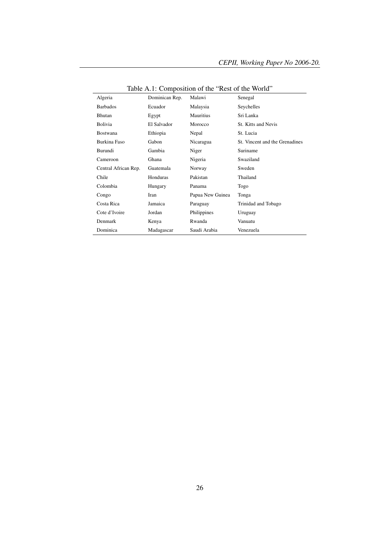| Algeria              | Dominican Rep. | Malawi           | Senegal                        |
|----------------------|----------------|------------------|--------------------------------|
| <b>Barbados</b>      | Ecuador        | Malaysia         | Seychelles                     |
| Bhutan               | Egypt          | <b>Mauritius</b> | Sri Lanka                      |
| <b>Bolivia</b>       | El Salvador    | Morocco          | St. Kitts and Nevis            |
| <b>Bostwana</b>      | Ethiopia       | Nepal            | St. Lucia                      |
| Burkina Faso         | Gabon          | Nicaragua        | St. Vincent and the Grenadines |
| Burundi              | Gambia         | Niger            | Suriname                       |
| Cameroon             | Ghana          | Nigeria          | Swaziland                      |
| Central African Rep. | Guatemala      | Norway           | Sweden                         |
| Chile                | Honduras       | Pakistan         | Thailand                       |
| Colombia             | Hungary        | Panama           | Togo                           |
| Congo                | Iran           | Papua New Guinea | Tonga                          |
| Costa Rica           | Jamaica        | Paraguay         | Trinidad and Tobago            |
| Cote d'Ivoire        | Jordan         | Philippines      | Uruguay                        |
| Denmark              | Kenya          | Rwanda           | Vanuatu                        |
| Dominica             | Madagascar     | Saudi Arabia     | Venezuela                      |

Table A.1: Composition of the "Rest of the World"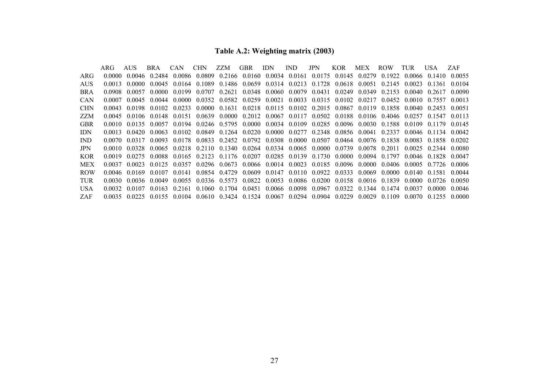#### **Table A.2: Weighting matrix (2003)**

ARG AUS BRA CAN CHN ZZM GBR IDN IND JPN KOR MEX ROW TUR USA ZAFARG 0.0000 0.0046 0.2484 0.0086 0.0809 0.2166 0.0160 0.0034 0.0161 0.0175 0.0145 0.0279 0.1922 0.0066 0.1410 0.0055AUS 0.0013 0.0000 0.0045 0.0164 0.1089 0.1486 0.0659 0.0314 0.0213 0.1728 0.0618 0.0051 0.2145 0.0023 0.1361 0.0104BRA 0.0908 0.0057 0.0000 0.0199 0.0707 0.2621 0.0348 0.0060 0.0079 0.0431 0.0249 0.0349 0.2153 0.0040 0.2617 0.0090CAN 0.0007 0.0045 0.0044 0.0000 0.0352 0.0582 0.0259 0.0021 0.0033 0.0315 0.0102 0.0217 0.0452 0.0010 0.7557 0.0013 CHN 0.0043 0.0198 0.0102 0.0233 0.0000 0.1631 0.0218 0.0115 0.0102 0.2015 0.0867 0.0119 0.1858 0.0040 0.2453 0.0051 ZZM 0.0045 0.0106 0.0148 0.0151 0.0639 0.0000 0.2012 0.0067 0.0117 0.0502 0.0188 0.0106 0.4046 0.0257 0.1547 0.0113 GBR 0.0010 0.0135 0.0057 0.0194 0.0246 0.5795 0.0000 0.0034 0.0109 0.0285 0.0096 0.0030 0.1588 0.0109 0.1179 0.0145 IDN 0.0013 0.0420 0.0063 0.0102 0.0849 0.1264 0.0220 0.0000 0.0277 0.2348 0.0856 0.0041 0.2337 0.0046 0.1134 0.0042 IND 0.0070 0.0317 0.0093 0.0178 0.0833 0.2452 0.0792 0.0308 0.0000 0.0507 0.0464 0.0076 0.1838 0.0083 0.1858 0.0202 JPN 0.0010 0.0328 0.0065 0.0218 0.2110 0.1340 0.0264 0.0334 0.0065 0.0000 0.0739 0.0078 0.2011 0.0025 0.2344 0.0080 KOR 0.0019 0.0275 0.0088 0.0165 0.2123 0.1176 0.0207 0.0285 0.0139 0.1730 0.0000 0.0094 0.1797 0.0046 0.1828 0.0047 MEX 0.0037 0.0023 0.0125 0.0357 0.0296 0.0673 0.0066 0.0014 0.0023 0.0185 0.0096 0.0000 0.0406 0.0005 0.7726 0.0006 ROW 0.0046 0.0169 0.0107 0.0141 0.0854 0.4729 0.0609 0.0147 0.0110 0.0922 0.0333 0.0069 0.0000 0.0140 0.1581 0.0044 TUR 0.0030 0.0036 0.0049 0.0055 0.0336 0.5573 0.0822 0.0053 0.0086 0.0200 0.0158 0.0016 0.1839 0.0000 0.0726 0.0050USA 0.0032 0.0107 0.0163 0.2161 0.1060 0.1704 0.0451 0.0066 0.0098 0.0967 0.0322 0.1344 0.1474 0.0037 0.0000 0.0046 ZAF 0.0035 0.0225 0.0155 0.0104 0.0610 0.3424 0.1524 0.0067 0.0294 0.0904 0.0229 0.0029 0.1109 0.0070 0.1255 0.0000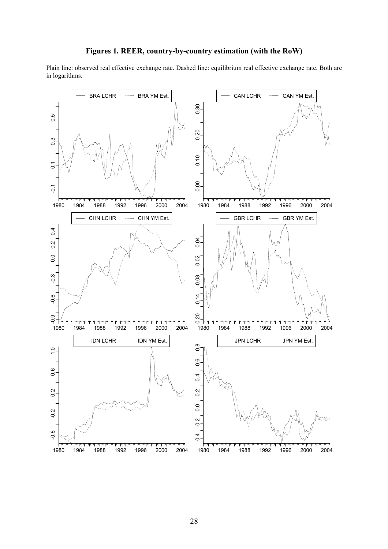## **Figures 1. REER, country-by-country estimation (with the RoW)**

Plain line: observed real effective exchange rate. Dashed line: equilibrium real effective exchange rate. Both are in logarithms.

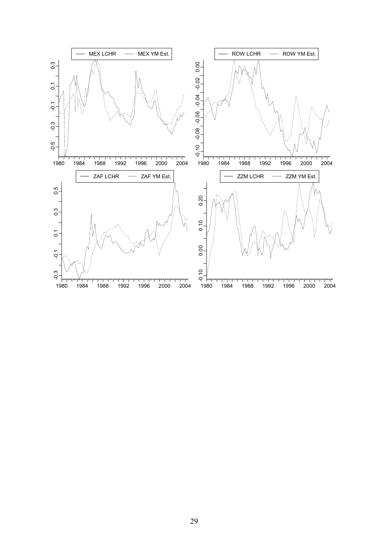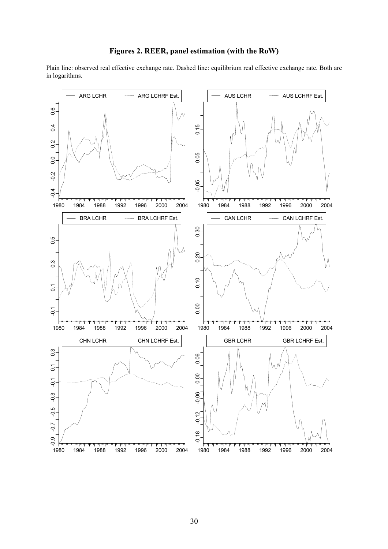## **Figures 2. REER, panel estimation (with the RoW)**

Plain line: observed real effective exchange rate. Dashed line: equilibrium real effective exchange rate. Both are in logarithms.

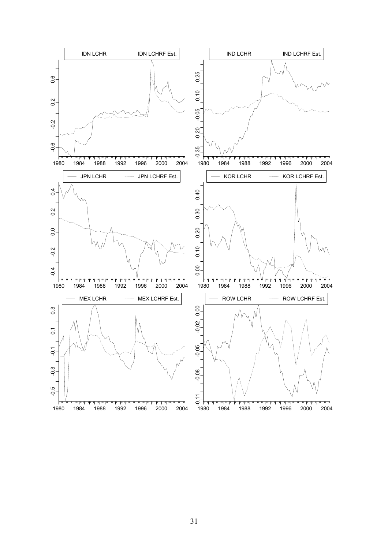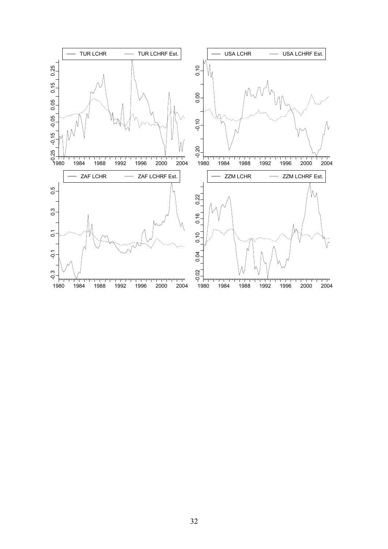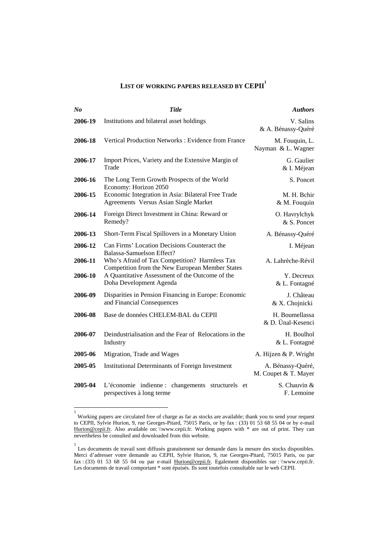## **LIST OF WORKING PAPERS RELEASED BY CEPII[1](#page-32-0)**

| No      | <b>Title</b>                                                                                     | <b>Authors</b>                            |
|---------|--------------------------------------------------------------------------------------------------|-------------------------------------------|
| 2006-19 | Institutions and bilateral asset holdings                                                        | V. Salins<br>& A. Bénassy-Quéré           |
| 2006-18 | <b>Vertical Production Networks: Evidence from France</b>                                        | M. Fouquin, L.<br>Nayman & L. Wagner      |
| 2006-17 | Import Prices, Variety and the Extensive Margin of<br>Trade                                      | G. Gaulier<br>& I. Méjean                 |
| 2006-16 | The Long Term Growth Prospects of the World<br>Economy: Horizon 2050                             | S. Poncet                                 |
| 2006-15 | Economic Integration in Asia: Bilateral Free Trade<br>Agreements Versus Asian Single Market      | M. H. Bchir<br>& M. Fouquin               |
| 2006-14 | Foreign Direct Investment in China: Reward or<br>Remedy?                                         | O. Havrylchyk<br>& S. Poncet              |
| 2006-13 | Short-Term Fiscal Spillovers in a Monetary Union                                                 | A. Bénassy-Quéré                          |
| 2006-12 | Can Firms' Location Decisions Counteract the<br>Balassa-Samuelson Effect?                        | I. Méjean                                 |
| 2006-11 | Who's Afraid of Tax Competition? Harmless Tax<br>Competition from the New European Member States | A. Lahrèche-Révil                         |
| 2006-10 | A Quantitative Assessment of the Outcome of the<br>Doha Development Agenda                       | Y. Decreux<br>& L. Fontagné               |
| 2006-09 | Disparities in Pension Financing in Europe: Economic<br>and Financial Consequences               | J. Château<br>& X. Chojnicki              |
| 2006-08 | Base de données CHELEM-BAL du CEPII                                                              | H. Boumellassa<br>& D. Ünal-Kesenci       |
| 2006-07 | Deindustrialisation and the Fear of Relocations in the<br>Industry                               | H. Boulhol<br>& L. Fontagné               |
| 2005-06 | Migration, Trade and Wages                                                                       | A. Hijzen & P. Wright                     |
| 2005-05 | <b>Institutional Determinants of Foreign Investment</b>                                          | A. Bénassy-Quéré,<br>M. Coupet & T. Mayer |
| 2005-04 | L'économie indienne : changements structurels et<br>perspectives à long terme                    | S. Chauvin &<br>F. Lemoine                |

<span id="page-32-0"></span> $\frac{1}{1}$ Working papers are circulated free of charge as far as stocks are available; thank you to send your request to CEPII, Sylvie Hurion, 9, rue Georges-Pitard, 75015 Paris, or by fax : (33) 01 53 68 55 04 or by e-mail Hurion@cepii.fr. Also available on: \\www.cepii.fr. Working papers with \* are out of print. They can nevertheless be consulted and downloaded from this website.

<sup>1</sup> Les documents de travail sont diffusés gratuitement sur demande dans la mesure des stocks disponibles. Merci d'adresser votre demande au CEPII, Sylvie Hurion, 9, rue Georges-Pitard, 75015 Paris, ou par fax : (33) 01 53 68 55 04 ou par e-mail Hurion@cepii.fr. Egalement disponibles sur : \\www.cepii.fr. Les documents de travail comportant \* sont épuisés. Ils sont toutefois consultable sur le web CEPII.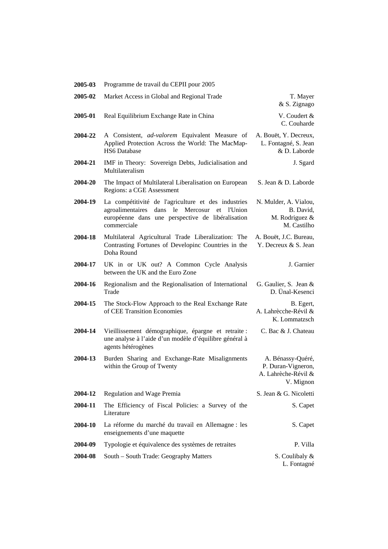| 2005-03 | Programme de travail du CEPII pour 2005                                                                                                                                 |                                                                             |
|---------|-------------------------------------------------------------------------------------------------------------------------------------------------------------------------|-----------------------------------------------------------------------------|
| 2005-02 | Market Access in Global and Regional Trade                                                                                                                              | T. Mayer<br>& S. Zignago                                                    |
| 2005-01 | Real Equilibrium Exchange Rate in China                                                                                                                                 | V. Coudert &<br>C. Couharde                                                 |
| 2004-22 | A Consistent, ad-valorem Equivalent Measure of<br>Applied Protection Across the World: The MacMap-<br><b>HS6</b> Database                                               | A. Bouët, Y. Decreux,<br>L. Fontagné, S. Jean<br>& D. Laborde               |
| 2004-21 | IMF in Theory: Sovereign Debts, Judicialisation and<br>Multilateralism                                                                                                  | J. Sgard                                                                    |
| 2004-20 | The Impact of Multilateral Liberalisation on European<br>Regions: a CGE Assessment                                                                                      | S. Jean & D. Laborde                                                        |
| 2004-19 | La compétitivité de l'agriculture et des industries<br>agroalimentaires dans le Mercosur et l'Union<br>européenne dans une perspective de libéralisation<br>commerciale | N. Mulder, A. Vialou,<br>B. David,<br>M. Rodriguez &<br>M. Castilho         |
| 2004-18 | Multilateral Agricultural Trade Liberalization: The<br>Contrasting Fortunes of Developinc Countries in the<br>Doha Round                                                | A. Bouët, J.C. Bureau,<br>Y. Decreux & S. Jean                              |
| 2004-17 | UK in or UK out? A Common Cycle Analysis<br>between the UK and the Euro Zone                                                                                            | J. Garnier                                                                  |
| 2004-16 | Regionalism and the Regionalisation of International<br>Trade                                                                                                           | G. Gaulier, S. Jean &<br>D. Ünal-Kesenci                                    |
| 2004-15 | The Stock-Flow Approach to the Real Exchange Rate<br>of CEE Transition Economies                                                                                        | B. Egert,<br>A. Lahrècche-Révil &<br>K. Lommatzsch                          |
| 2004-14 | Vieillissement démographique, épargne et retraite :<br>une analyse à l'aide d'un modèle d'équilibre général à<br>agents hétérogènes                                     | C. Bac & J. Chateau                                                         |
| 2004-13 | Burden Sharing and Exchange-Rate Misalignments<br>within the Group of Twenty                                                                                            | A. Bénassy-Quéré,<br>P. Duran-Vigneron,<br>A. Lahrèche-Révil &<br>V. Mignon |
| 2004-12 | Regulation and Wage Premia                                                                                                                                              | S. Jean & G. Nicoletti                                                      |
| 2004-11 | The Efficiency of Fiscal Policies: a Survey of the<br>Literature                                                                                                        | S. Capet                                                                    |
| 2004-10 | La réforme du marché du travail en Allemagne : les<br>enseignements d'une maquette                                                                                      | S. Capet                                                                    |
| 2004-09 | Typologie et équivalence des systèmes de retraites                                                                                                                      | P. Villa                                                                    |
| 2004-08 | South - South Trade: Geography Matters                                                                                                                                  | S. Coulibaly &<br>L. Fontagné                                               |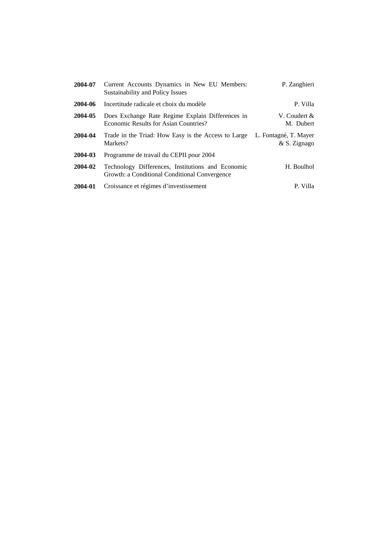| 2004-07 | Current Accounts Dynamics in New EU Members:<br>Sustainability and Policy Issues                   | P. Zanghieri                          |
|---------|----------------------------------------------------------------------------------------------------|---------------------------------------|
| 2004-06 | Incertitude radicale et choix du modèle                                                            | P. Villa                              |
| 2004-05 | Does Exchange Rate Regime Explain Differences in<br>Economic Results for Asian Countries?          | V. Coudert &<br>M. Dubert             |
| 2004-04 | Trade in the Triad: How Easy is the Access to Large<br>Markets?                                    | L. Fontagné, T. Mayer<br>& S. Zignago |
| 2004-03 | Programme de travail du CEPII pour 2004                                                            |                                       |
| 2004-02 | Technology Differences, Institutions and Economic<br>Growth: a Conditional Conditional Convergence | H. Boulhol                            |
| 2004-01 | Croissance et régimes d'investissement                                                             | P. Villa                              |